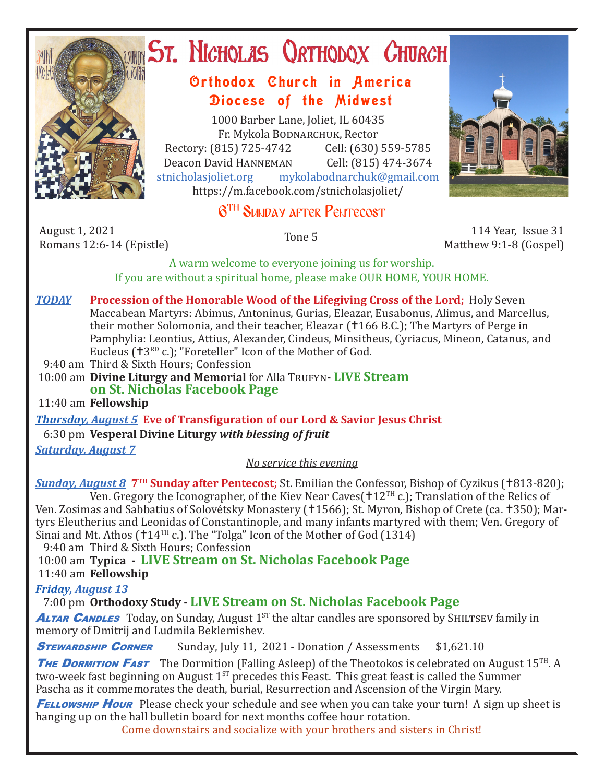

## ST. NICHOLAS QRTHODOX CHURCH

## Orthodox Church in America Diocese of the Midwest

1000 Barber Lane, Joliet, IL 60435 Fr. Mykola Bodnarchuk, Rector Rectory: (815) 725-4742 Cell: (630) 559-5785<br>Deacon David HANNEMAN Cell: (815) 474-3674 Deacon David HANNEMAN<br>stnicholasioliet.org mykola mykolabodnarchuk@gmail.com https://m.facebook.com/stnicholasjoliet/

## 6TH Sunday after Pentecost

August 1, 2021 August 1, 2021 114 Year, Issue 31<br>Romans 12:6-14 (Epistle) 12:6-14 (Epistle) 114 Year, Issue 31

Matthew 9:1-8 (Gospel)

A warm welcome to everyone joining us for worship. If you are without a spiritual home, please make OUR HOME, YOUR HOME.

- *TODAY* **Procession of the Honorable Wood of the Lifegiving Cross of the Lord;** Holy Seven Maccabean Martyrs: Abimus, Antoninus, Gurias, Eleazar, Eusabonus, Alimus, and Marcellus, their mother Solomonia, and their teacher, Eleazar (†166 B.C.); The Martyrs of Perge in Pamphylia: Leontius, Attius, Alexander, Cindeus, Minsitheus, Cyriacus, Mineon, Catanus, and Eucleus (†3RD c.); "Foreteller" Icon of the Mother of God.
- 9:40 am Third & Sixth Hours; Confession

10:00 am **Divine Liturgy and Memorial** for Alla Trufyn-LIVE Stream **on St. Nicholas Facebook Page**

11:40 am **Fellowship**

*Thursday, August 5* **Eve of Transfiguration of our Lord & Savior Jesus Christ** 6:30 pm **Vesperal Divine Liturgy** *with blessing of fruit*

*Saturday, August 7*

*No service this evening*

**Sunday, August 8 <sup>7TH</sup> Sunday after Pentecost;** St. Emilian the Confessor, Bishop of Cyzikus (†813-820); Ven. Gregory the Iconographer, of the Kiev Near Caves( $\pm 12$ <sup>TH</sup> c.); Translation of the Relics of Ven. Zosimas and Sabbatius of Solovétsky Monastery (†1566); St. Myron, Bishop of Crete (ca. †350); Martyrs Eleutherius and Leonidas of Constantinople, and many infants martyred with them; Ven. Gregory of Sinai and Mt. Athos (†14TH c.). The "Tolga" Icon of the Mother of God (1314)

9:40 am Third & Sixth Hours; Confession

10:00 am **Typica - LIVE Stream on St. Nicholas Facebook Page**

11:40 am **Fellowship**

*Friday, August 13* 

7:00 pm **Orthodoxy Study - LIVE Stream on St. Nicholas Facebook Page**

**ALTAR CANDLES** Today, on Sunday, August 1<sup>ST</sup> the altar candles are sponsored by SHILTSEV family in memory of Dmitrij and Ludmila Beklemishev*.*

**STEWARDSHIP CORNER** Sunday, July 11, 2021 - Donation / Assessments \$1,621.10

THE DORMITION FAST The Dormition (Falling Asleep) of the Theotokos is celebrated on August 15<sup>TH</sup>. A two-week fast beginning on August  $1^{ST}$  precedes this Feast. This great feast is called the Summer Pascha as it commemorates the death, burial, Resurrection and Ascension of the Virgin Mary.

**FELLOWSHIP HOUR** Please check your schedule and see when you can take your turn! A sign up sheet is hanging up on the hall bulletin board for next months coffee hour rotation.

Come downstairs and socialize with your brothers and sisters in Christ!